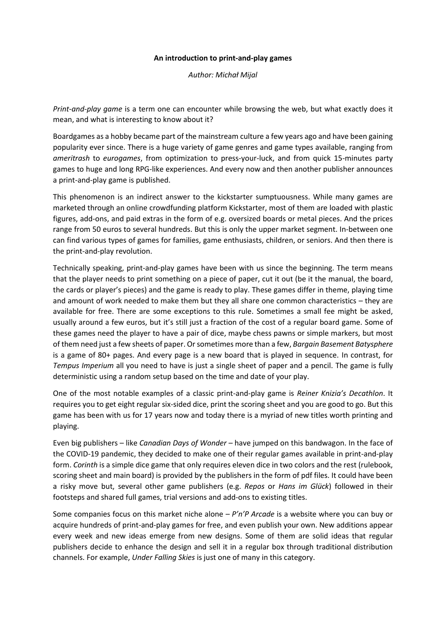## **An introduction to print-and-play games**

*Author: Michał Mijal*

*Print-and-play game* is a term one can encounter while browsing the web, but what exactly does it mean, and what is interesting to know about it?

Boardgames as a hobby became part of the mainstream culture a few years ago and have been gaining popularity ever since. There is a huge variety of game genres and game types available, ranging from *ameritrash* to *eurogames*, from optimization to press-your-luck, and from quick 15-minutes party games to huge and long RPG-like experiences. And every now and then another publisher announces a print-and-play game is published.

This phenomenon is an indirect answer to the kickstarter sumptuousness. While many games are marketed through an online crowdfunding platform Kickstarter, most of them are loaded with plastic figures, add-ons, and paid extras in the form of e.g. oversized boards or metal pieces. And the prices range from 50 euros to several hundreds. But this is only the upper market segment. In-between one can find various types of games for families, game enthusiasts, children, or seniors. And then there is the print-and-play revolution.

Technically speaking, print-and-play games have been with us since the beginning. The term means that the player needs to print something on a piece of paper, cut it out (be it the manual, the board, the cards or player's pieces) and the game is ready to play. These games differ in theme, playing time and amount of work needed to make them but they all share one common characteristics – they are available for free. There are some exceptions to this rule. Sometimes a small fee might be asked, usually around a few euros, but it's still just a fraction of the cost of a regular board game. Some of these games need the player to have a pair of dice, maybe chess pawns or simple markers, but most of them need just a few sheets of paper. Or sometimes more than a few, *Bargain Basement Batysphere* is a game of 80+ pages. And every page is a new board that is played in sequence. In contrast, for *Tempus Imperium* all you need to have is just a single sheet of paper and a pencil. The game is fully deterministic using a random setup based on the time and date of your play.

One of the most notable examples of a classic print-and-play game is *Reiner Knizia's Decathlon*. It requires you to get eight regular six-sided dice, print the scoring sheet and you are good to go. But this game has been with us for 17 years now and today there is a myriad of new titles worth printing and playing.

Even big publishers – like *Canadian Days of Wonder* – have jumped on this bandwagon. In the face of the COVID-19 pandemic, they decided to make one of their regular games available in print-and-play form. *Corinth* is a simple dice game that only requires eleven dice in two colors and the rest (rulebook, scoring sheet and main board) is provided by the publishers in the form of pdf files. It could have been a risky move but, several other game publishers (e.g. *Repos* or *Hans im Glück*) followed in their footsteps and shared full games, trial versions and add-ons to existing titles.

Some companies focus on this market niche alone – *P'n'P Arcade* is a website where you can buy or acquire hundreds of print-and-play games for free, and even publish your own. New additions appear every week and new ideas emerge from new designs. Some of them are solid ideas that regular publishers decide to enhance the design and sell it in a regular box through traditional distribution channels. For example, *Under Falling Skies* is just one of many in this category.